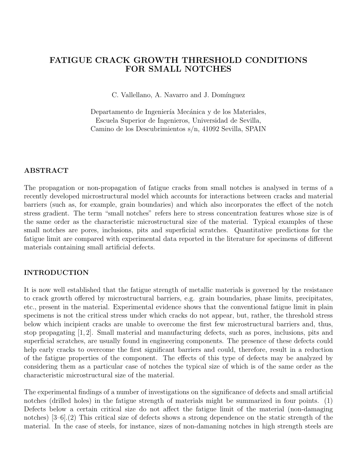## **FATIGUE CRACK GROWTH THRESHOLD CONDITIONS FOR SMALL NOTCHES**

C. Vallellano, A. Navarro and J. Domínguez

Departamento de Ingeniería Mecánica y de los Materiales, Escuela Superior de Ingenieros, Universidad de Sevilla, Camino de los Descubrimientos s/n, 41092 Sevilla, SPAIN

# **ABSTRACT**

The propagation or non-propagation of fatigue cracks from small notches is analysed in terms of a recently developed microstructural model which accounts for interactions between cracks and material barriers (such as, for example, grain boundaries) and which also incorporates the effect of the notch stress gradient. The term "small notches" refers here to stress concentration features whose size is of the same order as the characteristic microstructural size of the material. Typical examples of these small notches are pores, inclusions, pits and superficial scratches. Quantitative predictions for the fatigue limit are compared with experimental data reported in the literature for specimens of different materials containing small artificial defects.

# **INTERNATIONAL CONTROL**

It is now well established that the fatigue strength of metallic materials is governed by the resistance to crack growth offered by microstructural barriers, e.g. grain boundaries, phase limits, precipitates, etc., present in the material. Experimental evidence shows that the conventional fatigue limit in plain specimens is not the critical stress under which cracks do not appear, but, rather, the threshold stress below which incipient cracks are unable to overcome the first few microstructural barriers and, thus, stop propagating [1, 2]. Small material and manufacturing defects, such as pores, inclusions, pits and superficial scratches, are usually found in engineering components. The presence of these defects could help early cracks to overcome the first significant barriers and could, therefore, result in a reduction of the fatigue properties of the component. The effects of this type of defects may be analyzed by considering them as a particular case of notches the typical size of which is of the same order as the characteristic microstructural size of the material.

The experimental findings of a number of investigations on the significance of defects and small artificial notches (drilled holes) in the fatigue strength of materials might be summarized in four points. (1) Defects below a certain critical size do not affect the fatigue limit of the material (non-damaging notches) [3–6].(2) This critical size of defects shows a strong dependence on the static strength of the material. In the case of steels, for instance, sizes of non-damaning notches in high strength steels are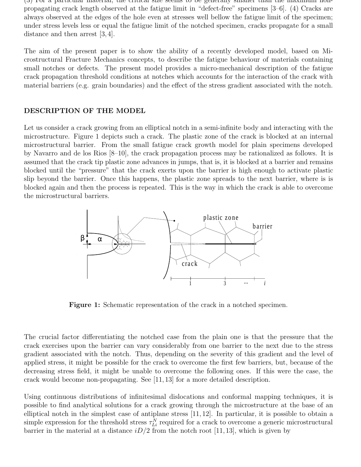(3) For a particular material, the critical size seems to be generally smaller than the maximum nonpropagating crack length observed at the fatigue limit in "defect-free" specimens [3–6]. (4) Cracks are always observed at the edges of the hole even at stresses well bellow the fatigue limit of the specimen; under stress levels less or equal the fatigue limit of the notched specimen, cracks propagate for a small distance and then arrest  $(3, 4)$ .

The aim of the present paper is to show the ability of a recently developed model, based on Microstructural Fracture Mechanics concepts, to describe the fatigue behaviour of materials containing small notches or defects. The present model provides a micro-mechanical description of the fatigue crack propagation threshold conditions at notches which accounts for the interaction of the crack with material barriers (e.g. grain boundaries) and the effect of the stress gradient associated with the notch.

# **DESCRIPTION OF THE MODEL**

Let us consider a crack growing from an elliptical notch in a semi-infinite body and interacting with the microstructure. Figure 1 depicts such a crack. The plastic zone of the crack is blocked at an internal microstructural barrier. From the small fatigue crack growth model for plain specimens developed by Navarro and de los Rios [8–10], the crack propagation process may be rationalized as follows. It is assumed that the crack tip plastic zone advances in jumps, that is, it is blocked at a barrier and remains blocked until the "pressure" that the crack exerts upon the barrier is high enough to activate plastic slip beyond the barrier. Once this happens, the plastic zone spreads to the next barrier, where is is blocked again and then the process is repeated. This is the way in which the crack is able to overcome the microstructural barriers.



Figure 1: Schematic representation of the crack in a notched specimen.

The crucial factor differentiating the notched case from the plain one is that the pressure that the crack exercises upon the barrier can vary considerably from one barrier to the next due to the stress gradient associated with the notch. Thus, depending on the severity of this gradient and the level of applied stress, it might be possible for the crack to overcome the first few barriers, but, because of the decreasing stress field, it might be unable to overcome the following ones. If this were the case, the crack would become non-propagating. See [11, 13] for a more detailed description.

Using continuous distributions of infinitesimal dislocations and conformal mapping techniques, it is possible to find analytical solutions for a crack growing through the microstructure at the base of an elliptical notch in the simplest case of antiplane stress [11, 12]. In particular, it is possible to obtain a simple expression for the threshold stress  $\tau_{Li}^N$  required for a crack to overcome a generic microstructural barrier in the material at a distance  $iD/2$  from the notch root [11, 13], which is given by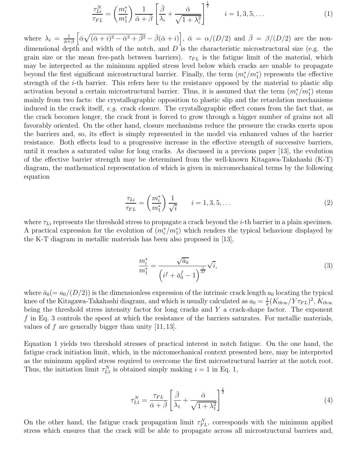$$
\frac{\tau_{Li}^N}{\tau_{FL}} = \left(\frac{m_i^*}{m_1^*}\right) \frac{1}{\bar{\alpha} + \bar{\beta}} \left[\frac{\bar{\beta}}{\lambda_i} + \frac{\bar{\alpha}}{\sqrt{1 + \lambda_i^2}}\right]^{\frac{1}{2}} \qquad i = 1, 3, 5, \dots \tag{1}
$$

where  $\lambda_i = \frac{1}{\bar{\alpha} + \bar{\beta}} \left[ \bar{\alpha} \sqrt{(\bar{\alpha} + i)^2 - \bar{\alpha}^2 + \bar{\beta}^2} - \bar{\beta}(\bar{\alpha} + i) \right], \ \bar{\alpha} = \alpha/(D/2)$  and  $\bar{\beta} = \beta/(D/2)$  are the nondimensional depth and width of the notch, and  $D$  is the characteristic microstructural size (e.g. the grain size or the mean free-path between barriers).  $\tau_{FL}$  is the fatigue limit of the material, which may be interpreted as the minimum applied stress level below which cracks are unable to propagate beyond the first significant microstructural barrier. Finally, the term  $(m_i^*/m_1^*)$  represents the effective strength of the i-th barrier. This refers here to the resistance opposed by the material to plastic slip activation beyond a certain microstructural barrier. Thus, it is assumed that the term  $(m_i^*/m_1^*)$  stems mainly from two facts: the crystallographic opposition to plastic slip and the retardation mechanisms induced in the crack itself, e.g. crack closure. The crystallographic effect comes from the fact that, as the crack becomes longer, the crack front is forced to grow through a bigger number of grains not all favorably oriented. On the other hand, closure mechanisms reduce the pressure the cracks exerts upon the barriers and, so, its effect is simply represented in the model via enhanced values of the barrier resistance. Both effects lead to a progressive increase in the effective strength of successive barriers, until it reaches a saturated value for long cracks. As discussed in a previous paper [13], the evolution of the effective barrier strength may be determined from the well-known Kitagawa-Takahashi (K-T) diagram, the mathematical representation of which is given in micromechanical terms by the following equation

$$
\frac{\tau_{Li}}{\tau_{FL}} = \left(\frac{m_i^*}{m_1^*}\right) \frac{1}{\sqrt{i}} \qquad i = 1, 3, 5, \dots \tag{2}
$$

where  $\tau_{Li}$  represents the threshold stress to propagate a crack beyond the *i*-th barrier in a plain specimen. A practical expression for the evolution of  $(m_i^*/m_1^*)$  which renders the typical behaviour displayed by the K-T diagram in metallic materials has been also proposed in [13],

$$
\frac{m_i^*}{m_1^*} = \frac{\sqrt{\bar{a}_0}}{\left(i^f + \bar{a}_0^f - 1\right)^{\frac{1}{2f}}} \sqrt{i},\tag{3}
$$

where  $\bar{a}_0 (= a_0/(D/2))$  is the dimensionless expression of the intrinsic crack length  $a_0$  locating the typical knee of the Kitagawa-Takahashi diagram, and which is usually calculated as  $a_0 = \frac{1}{\pi} (K_{th\infty}/Y\tau_{FL})^2$ ,  $K_{th\infty}$ being the threshold stress intensity factor for long cracks and  $Y$  a crack-shape factor. The exponent f in Eq. 3 controls the speed at which the resistance of the barriers saturates. For metallic materials, values of  $f$  are generally bigger than unity  $[11, 13]$ .

Equation 1 yields two threshold stresses of practical interest in notch fatigue. On the one hand, the fatigue crack initiation limit, which, in the micromechanical context presented here, may be interpreted as the minimum applied stress required to overcome the first microstructural barrier at the notch root. Thus, the initiation limit  $\tau_{L1}^N$  is obtained simply making  $i = 1$  in Eq. 1,

$$
\tau_{L1}^N = \frac{\tau_{FL}}{\bar{\alpha} + \bar{\beta}} \left[ \frac{\bar{\beta}}{\lambda_1} + \frac{\bar{\alpha}}{\sqrt{1 + \lambda_1^2}} \right]^{\frac{1}{2}}
$$
(4)

On the other hand, the fatigue crack propagation limit  $\tau_{FL}^N$ , corresponds with the minimum applied stress which ensures that the crack will be able to propagate across all microstructural barriers and,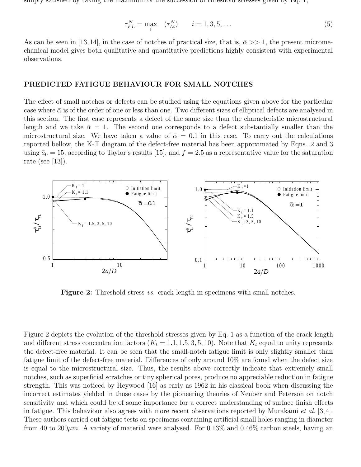simply satisfied by taking the maximum of the succession of threshold stresses given by Eq. 1,

$$
\tau_{FL}^N = \max_i \quad (\tau_{Li}^N) \qquad i = 1, 3, 5, \dots \tag{5}
$$

As can be seen in [13,14], in the case of notches of practical size, that is,  $\bar{\alpha} >> 1$ , the present micromechanical model gives both qualitative and quantitative predictions highly consistent with experimental observations.

# **PREDICTED FATIGUE BEHAVIOUR FOR SMALL NOTCHES**

The effect of small notches or defects can be studied using the equations given above for the particular case where  $\bar{\alpha}$  is of the order of one or less than one. Two different sizes of elliptical defects are analysed in this section. The first case represents a defect of the same size than the characteristic microstructural length and we take  $\bar{\alpha} = 1$ . The second one corresponds to a defect substantially smaller than the microstructural size. We have taken a value of  $\bar{\alpha} = 0.1$  in this case. To carry out the calculations reported bellow, the K-T diagram of the defect-free material has been approximated by Eqns. 2 and 3 using  $\bar{a}_0 = 15$ , according to Taylor's results [15], and  $f = 2.5$  as a representative value for the saturation rate (see [13]).



**Figure 2:** Threshold stress *vs.* crack length in specimens with small notches.

Figure 2 depicts the evolution of the threshold stresses given by Eq. 1 as a function of the crack length and different stress concentration factors  $(K_t = 1.1, 1.5, 3, 5, 10)$ . Note that  $K_t$  equal to unity represents the defect-free material. It can be seen that the small-notch fatigue limit is only slightly smaller than fatigue limit of the defect-free material. Differences of only around 10% are found when the defect size is equal to the microstructural size. Thus, the results above correctly indicate that extremely small notches, such as superficial scratches or tiny spherical pores, produce no appreciable reduction in fatigue strength. This was noticed by Heywood [16] as early as 1962 in his classical book when discussing the incorrect estimates yielded in those cases by the pioneering theories of Neuber and Peterson on notch sensitivity and which could be of some importance for a correct understanding of surface finish effects in fatigue. This behaviour also agrees with more recent observations reported by Murakami *et al.* [3,4]. These authors carried out fatigue tests on specimens containing artificial small holes ranging in diameter from 40 to 200 $\mu$ m. A variety of material were analysed. For 0.13% and 0.46% carbon steels, having an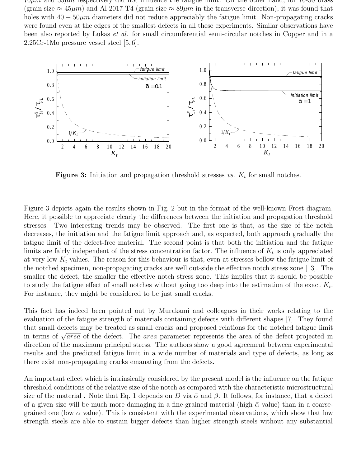*TOµm* and 35µm respectively did not influence the fatigue limit. On the other hand, for 70-30 brass (grain size  $\approx 45 \mu m$ ) and Al 2017-T4 (grain size  $\approx 89 \mu m$  in the transverse direction), it was found that holes with  $40 - 50 \mu m$  diameters did not reduce appreciably the fatigue limit. Non-propagating cracks were found even at the edges of the smallest defects in all these experiments. Similar observations have been also reported by Lukas et al. for small circumferential semi-circular notches in Copper and in a 2.25Cr-1Mo pressure vessel steel [5, 6].



**Figure 3:** Initiation and propagation threshold stresses vs.  $K_t$  for small notches.

Figure 3 depicts again the results shown in Fig. 2 but in the format of the well-known Frost diagram. Here, it possible to appreciate clearly the differences between the initiation and propagation threshold stresses. Two interesting trends may be observed. The first one is that, as the size of the notch decreases, the initiation and the fatigue limit approach and, as expected, both approach gradually the fatigue limit of the defect-free material. The second point is that both the initiation and the fatigue limits are fairly independent of the stress concentration factor. The influence of  $K_t$  is only appreciated at very low  $K_t$  values. The reason for this behaviour is that, even at stresses bellow the fatigue limit of the notched specimen, non-propagating cracks are well out-side the effective notch stress zone [13]. The smaller the defect, the smaller the effective notch stress zone. This implies that it should be possible to study the fatigue effect of small notches without going too deep into the estimation of the exact  $K_t$ . For instance, they might be considered to be just small cracks.

This fact has indeed been pointed out by Murakami and colleagues in their works relating to the evaluation of the fatigue strength of materials containing defects with different shapes [7]. They found that small defects may be treated as small cracks and proposed relations for the notched fatigue limit in terms of  $\sqrt{area}$  of the defect. The *area* parameter represents the area of the defect projected in direction of the maximum principal stress. The authors show a good agreement between experimental results and the predicted fatigue limit in a wide number of materials and type of defects, as long as there exist non-propagating cracks emanating from the defects.

An important effect which is intrinsically considered by the present model is the influence on the fatigue threshold conditions of the relative size of the notch as compared with the characteristic microstructural size of the material . Note that Eq. 1 depends on D via  $\bar{\alpha}$  and  $\beta$ . It follows, for instance, that a defect of a given size will be much more damaging in a fine-grained material (high  $\bar{\alpha}$  value) than in a coarsegrained one (low  $\bar{\alpha}$  value). This is consistent with the experimental observations, which show that low strength steels are able to sustain bigger defects than higher strength steels without any substantial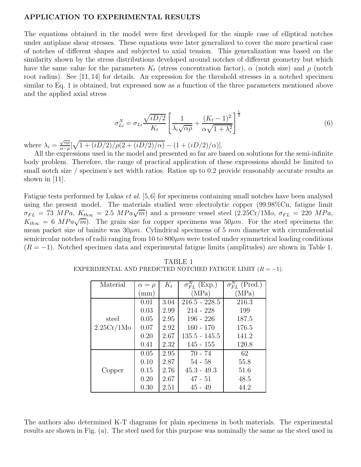## **APPLICATION TO EXPERIMENTAL RESULTS**

The equations obtained in the model were first developed for the simple case of elliptical notches under antiplane shear stresses. These equations were later generalized to cover the more practical case of notches of different shapes and subjected to axial tension. This generalization was based on the similarity shown by the stress distributions developed around notches of different geometry but which have the same value for the parameters  $K_t$  (stress concentration factor),  $\alpha$  (notch size) and  $\rho$  (notch root radius). See [11, 14] for details. An expression for the threshold stresses in a notched specimen similar to Eq. 1 is obtained, but expressed now as a function of the three parameters mentioned above and the applied axial stress

$$
\sigma_{Li}^N = \sigma_{Li} \frac{\sqrt{iD/2}}{K_t} \left[ \frac{1}{\lambda_i \sqrt{\alpha \rho}} + \frac{(K_t - 1)^2}{\alpha \sqrt{1 + \lambda_i^2}} \right]^{\frac{1}{2}}
$$
(6)

where  $\lambda_i = \frac{\sqrt{\alpha \rho}}{\alpha - \rho} [\sqrt{1 + (iD/2)/\rho(2 + (iD/2)/\alpha)} - (1 + (iD/2)/\alpha)].$ 

All the expressions used in the model and presented so far are based on solutions for the semi-infinite body problem. Therefore, the range of practical application of these expressions should be limited to small notch size / specimen's net width ratios. Ratios up to 0.2 provide reasonably accurate results as shown in [11].

Fatigue tests performed by Lukas *et al.* [5,6] for specimens containing small notches have been analysed using the present model. The materials studied were electrolytic copper (99.98%Cu, fatigue limit  $\sigma_{FL} = 73 \; MPa, K_{th\infty} = 2.5 \; MPa\sqrt{m}$  and a pressure vessel steel  $(2.25Cr/1Mo, \sigma_{FL} = 220 \; MPa,$  $K_{th\infty} = 6 \; MPa\sqrt{m}$ . The grain size for copper specimens was  $50 \mu m$ . For the steel specimens the mean packet size of bainite was  $30\mu m$ . Cylindrical specimens of 5 mm diameter with circumferential semicircular notches of radii ranging from 10 to  $800 \mu m$  were tested under symmetrical loading conditions  $(R = -1)$ . Notched specimen data and experimental fatigue limits (amplitudes) are shown in Table 1.

| Material   | $\alpha = \rho$ | $K_t$ | $\sigma_{FL}^{N}$ (Exp.) | $\sigma_{FL}^{N}$ (Pred.) |
|------------|-----------------|-------|--------------------------|---------------------------|
|            | mm)             |       | (MPa)                    | (MPa)                     |
|            | 0.01            | 3.04  | $216.5 - 228.5$          | 216.3                     |
|            | 0.03            | 2.99  | $214 - 228$              | 199                       |
| steel      | 0.05            | 2.95  | $196 - 226$              | 187.5                     |
| 2.25Cr/1Mo | 0.07            | 2.92  | $160 - 170$              | 176.5                     |
|            | 0.20            | 2.67  | $135.5 - 145.5$          | 141.2                     |
|            | 0.41            | 2.32  | 145 - 155                | 120.8                     |
|            | 0.05            | 2.95  | $70 - 74$                | 62                        |
|            | 0.10            | 2.87  | $54 - 58$                | 55.8                      |
| Copper     | 0.15            | 2.76  | $45.3 - 49.3$            | 51.6                      |
|            | 0.20            | 2.67  | $47 - 51$                | 48.5                      |
|            | 0.30            | 2.51  | $45 - 49$                | 44.2                      |

TABLE 1 EXPERIMENTAL AND PREDICTED NOTCHED FATIGUE LIMIT  $(R = -1)$ .

The authors also determined K-T diagrams for plain specimens in both materials. The experimental results are shown in Fig. (a). The steel used for this purpose was nominally the same as the steel used in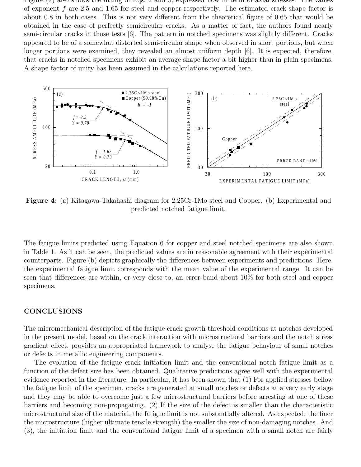Figure (a) also shows the fitting of Eqs. 2 and 3, expressed now in term of axial stresses. The values of exponent f are 2.5 and 1.65 for steel and copper respectively. The estimated crack-shape factor is about 0.8 in both cases. This is not very different from the theoretical figure of 0.65 that would be obtained in the case of perfectly semicircular cracks. As a matter of fact, the authors found nearly semi-circular cracks in those tests [6]. The pattern in notched specimens was slightly different. Cracks appeared to be of a somewhat distorted semi-circular shape when observed in short portions, but when longer portions were examined, they revealed an almost uniform depth [6]. It is expected, therefore, that cracks in notched specimens exhibit an average shape factor a bit higher than in plain specimens. A shape factor of unity has been assumed in the calculations reported here.



**Figure 4:** (a) Kitagawa-Takahashi diagram for 2.25Cr-1Mo steel and Copper. (b) Experimental and predicted notched fatigue limit.

The fatigue limits predicted using Equation 6 for copper and steel notched specimens are also shown in Table 1. As it can be seen, the predicted values are in reasonable agreement with their experimental counterparts. Figure (b) depicts graphically the differences between experiments and predictions. Here, the experimental fatigue limit corresponds with the mean value of the experimental range. It can be seen that differences are within, or very close to, an error band about 10% for both steel and copper specimens.

## **CONCLUSIONS**

The micromechanical description of the fatigue crack growth threshold conditions at notches developed in the present model, based on the crack interaction with microstructural barriers and the notch stress gradient effect, provides an appropriated framework to analyse the fatigue behaviour of small notches or defects in metallic engineering components.

The evolution of the fatigue crack initiation limit and the conventional notch fatigue limit as a function of the defect size has been obtained. Qualitative predictions agree well with the experimental evidence reported in the literature. In particular, it has been shown that (1) For applied stresses bellow the fatigue limit of the specimen, cracks are generated at small notches or defects at a very early stage and they may be able to overcome just a few microstructural barriers before arresting at one of these barriers and becoming non-propagating. (2) If the size of the defect is smaller than the characteristic microstructural size of the material, the fatigue limit is not substantially altered. As expected, the finer the microstructure (higher ultimate tensile strength) the smaller the size of non-damaging notches. And (3), the initiation limit and the conventional fatigue limit of a specimen with a small notch are fairly